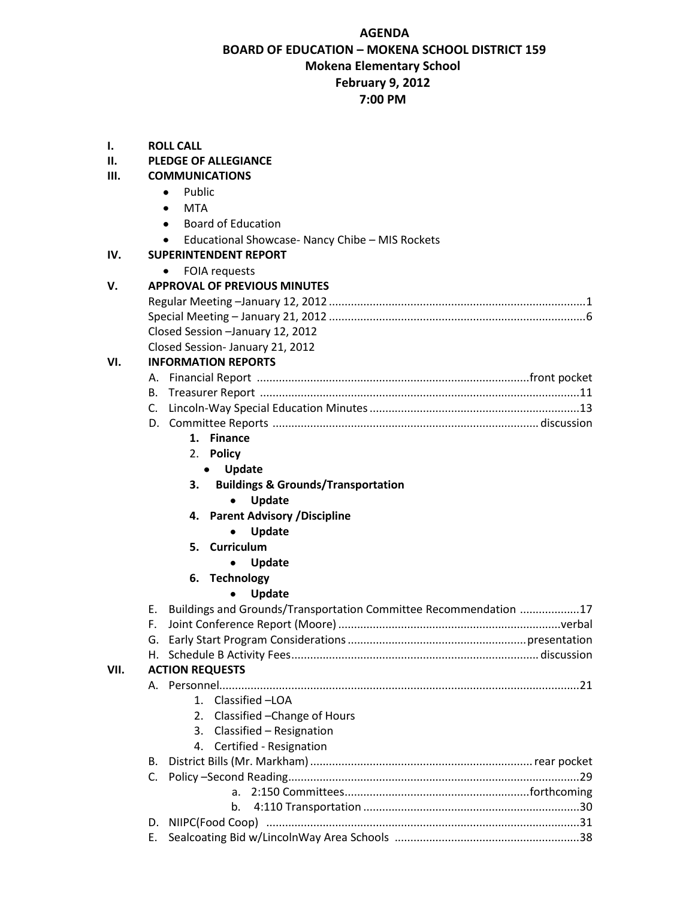# **AGENDA BOARD OF EDUCATION – MOKENA SCHOOL DISTRICT 159 Mokena Elementary School February 9, 2012 7:00 PM**

| ı.   |    | <b>ROLL CALL</b>                                                 |  |
|------|----|------------------------------------------------------------------|--|
| П.   |    | <b>PLEDGE OF ALLEGIANCE</b>                                      |  |
| III. |    | <b>COMMUNICATIONS</b>                                            |  |
|      |    | Public<br>$\bullet$                                              |  |
|      |    | <b>MTA</b><br>$\bullet$                                          |  |
|      |    | <b>Board of Education</b><br>٠                                   |  |
|      |    | Educational Showcase- Nancy Chibe - MIS Rockets<br>٠             |  |
| IV.  |    | <b>SUPERINTENDENT REPORT</b>                                     |  |
|      |    | <b>FOIA requests</b><br>$\bullet$                                |  |
| ٧.   |    | <b>APPROVAL OF PREVIOUS MINUTES</b>                              |  |
|      |    |                                                                  |  |
|      |    |                                                                  |  |
|      |    |                                                                  |  |
|      |    | Closed Session -January 12, 2012                                 |  |
| VI.  |    | Closed Session- January 21, 2012                                 |  |
|      |    | <b>INFORMATION REPORTS</b>                                       |  |
|      |    |                                                                  |  |
|      |    |                                                                  |  |
|      |    |                                                                  |  |
|      |    |                                                                  |  |
|      |    | 1. Finance                                                       |  |
|      |    | 2. Policy                                                        |  |
|      |    | Update<br>$\bullet$                                              |  |
|      |    | <b>Buildings &amp; Grounds/Transportation</b><br>3.              |  |
|      |    | Update<br>$\bullet$                                              |  |
|      |    | 4. Parent Advisory / Discipline                                  |  |
|      |    | Update                                                           |  |
|      |    | 5. Curriculum                                                    |  |
|      |    | Update                                                           |  |
|      |    | 6. Technology                                                    |  |
|      |    | <b>Update</b>                                                    |  |
|      | Е. | Buildings and Grounds/Transportation Committee Recommendation 17 |  |
|      | F. |                                                                  |  |
|      |    |                                                                  |  |
|      | Н. |                                                                  |  |
| VII. |    | <b>ACTION REQUESTS</b>                                           |  |
|      |    |                                                                  |  |
|      |    | 1. Classified - LOA                                              |  |
|      |    | Classified - Change of Hours<br>2.                               |  |
|      |    | 3. Classified - Resignation                                      |  |
|      |    | 4. Certified - Resignation                                       |  |
|      | B. |                                                                  |  |
|      | C. |                                                                  |  |
|      |    | a.                                                               |  |
|      |    | b.                                                               |  |
|      | D. |                                                                  |  |
|      | Е. |                                                                  |  |
|      |    |                                                                  |  |